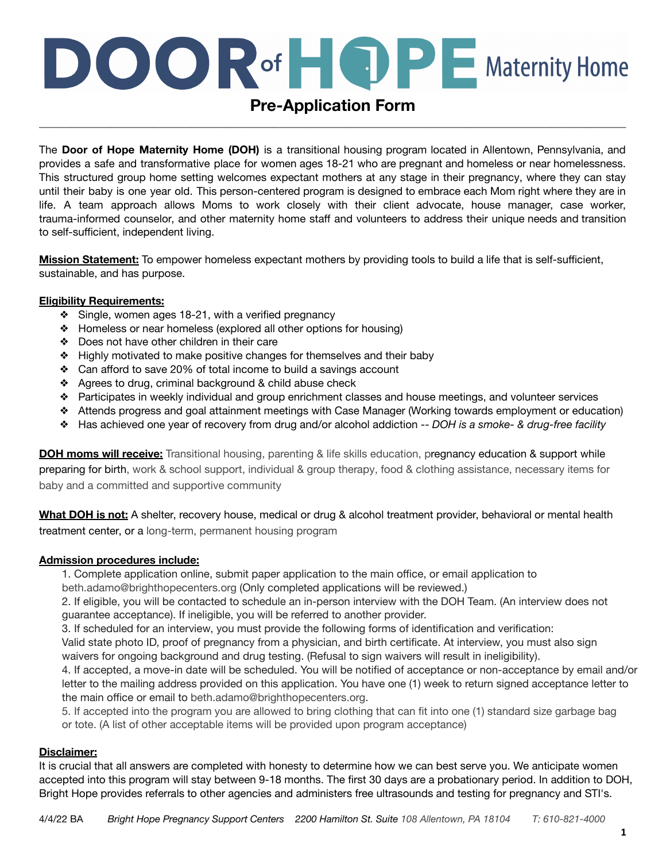# **DOOR** of **HOPE** Maternity Home

### **Pre-Application Form** \_\_\_\_\_\_\_\_\_\_\_\_\_\_\_\_\_\_\_\_\_\_\_\_\_\_\_\_\_\_\_\_\_\_\_\_\_\_\_\_\_\_\_\_\_\_\_\_\_\_\_\_\_\_\_\_\_\_\_\_\_\_\_\_\_\_\_\_\_\_\_\_\_\_\_\_\_\_\_\_\_\_\_\_\_\_\_\_\_\_\_\_\_\_\_\_\_\_\_\_\_\_\_\_\_\_\_\_

The **Door of Hope Maternity Home (DOH)** is a transitional housing program located in Allentown, Pennsylvania, and provides a safe and transformative place for women ages 18-21 who are pregnant and homeless or near homelessness. This structured group home setting welcomes expectant mothers at any stage in their pregnancy, where they can stay until their baby is one year old. This person-centered program is designed to embrace each Mom right where they are in life. A team approach allows Moms to work closely with their client advocate, house manager, case worker, trauma-informed counselor, and other maternity home staff and volunteers to address their unique needs and transition to self-sufficient, independent living.

**Mission Statement:** To empower homeless expectant mothers by providing tools to build a life that is self-sufficient, sustainable, and has purpose.

#### **Eligibility Requirements:**

- ❖ Single, women ages 18-21, with a verified pregnancy
- ❖ Homeless or near homeless (explored all other options for housing)
- ❖ Does not have other children in their care
- ❖ Highly motivated to make positive changes for themselves and their baby
- ❖ Can afford to save 20% of total income to build a savings account
- ❖ Agrees to drug, criminal background & child abuse check
- ❖ Participates in weekly individual and group enrichment classes and house meetings, and volunteer services
- ❖ Attends progress and goal attainment meetings with Case Manager (Working towards employment or education)
- ❖ Has achieved one year of recovery from drug and/or alcohol addiction -- *DOH is a smoke- & drug-free facility*

**DOH moms will receive:** Transitional housing, parenting & life skills education, pregnancy education & support while preparing for birth, work & school support, individual & group therapy, food & clothing assistance, necessary items for baby and a committed and supportive community

**What DOH is not:** A shelter, recovery house, medical or drug & alcohol treatment provider, behavioral or mental health treatment center, or a long-term, permanent housing program

#### **Admission procedures include:**

1. Complete application online, submit paper application to the main office, or email application to beth.adamo@brighthopecenters.org (Only completed applications will be reviewed.)

2. If eligible, you will be contacted to schedule an in-person interview with the DOH Team. (An interview does not guarantee acceptance). If ineligible, you will be referred to another provider.

3. If scheduled for an interview, you must provide the following forms of identification and verification:

Valid state photo ID, proof of pregnancy from a physician, and birth certificate. At interview, you must also sign waivers for ongoing background and drug testing. (Refusal to sign waivers will result in ineligibility).

4. If accepted, a move-in date will be scheduled. You will be notified of acceptance or non-acceptance by email and/or letter to the mailing address provided on this application. You have one (1) week to return signed acceptance letter to the main office or email to beth.adamo@brighthopecenters.org.

5. If accepted into the program you are allowed to bring clothing that can fit into one (1) standard size garbage bag or tote. (A list of other acceptable items will be provided upon program acceptance)

#### **Disclaimer:**

It is crucial that all answers are completed with honesty to determine how we can best serve you. We anticipate women accepted into this program will stay between 9-18 months. The first 30 days are a probationary period. In addition to DOH, Bright Hope provides referrals to other agencies and administers free ultrasounds and testing for pregnancy and STI's.